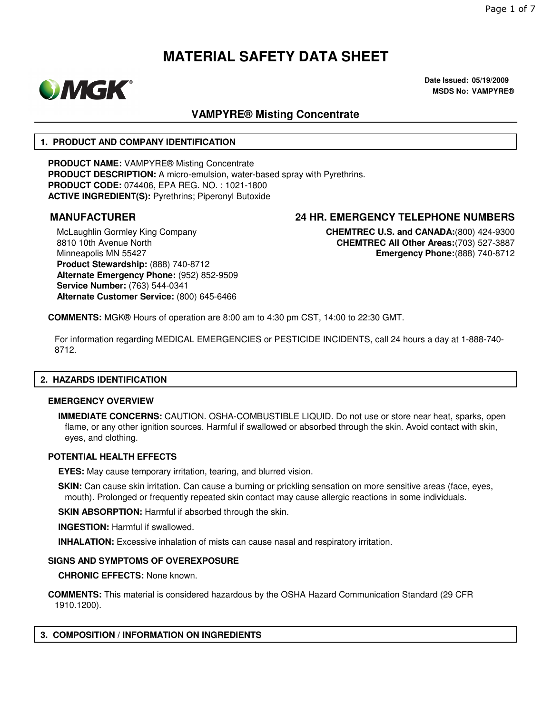

**Date Issued: 05/19/2009 MSDS No: VAMPYRE®**

# **VAMPYRE® Misting Concentrate**

#### **1. PRODUCT AND COMPANY IDENTIFICATION**

**PRODUCT NAME:** VAMPYRE® Misting Concentrate **PRODUCT DESCRIPTION:** A micro-emulsion, water-based spray with Pyrethrins. **PRODUCT CODE:** 074406, EPA REG. NO. : 1021-1800 **ACTIVE INGREDIENT(S):** Pyrethrins; Piperonyl Butoxide

McLaughlin Gormley King Company 8810 10th Avenue North Minneapolis MN 55427 **Product Stewardship:** (888) 740-8712 **Alternate Emergency Phone:** (952) 852-9509 **Service Number:** (763) 544-0341 **Alternate Customer Service:** (800) 645-6466

### **MANUFACTURER 24 HR. EMERGENCY TELEPHONE NUMBERS**

**CHEMTREC U.S. and CANADA:**(800) 424-9300 **CHEMTREC All Other Areas:**(703) 527-3887 **Emergency Phone:**(888) 740-8712

**COMMENTS:** MGK® Hours of operation are 8:00 am to 4:30 pm CST, 14:00 to 22:30 GMT.

For information regarding MEDICAL EMERGENCIES or PESTICIDE INCIDENTS, call 24 hours a day at 1-888-740- 8712.

### **2. HAZARDS IDENTIFICATION**

#### **EMERGENCY OVERVIEW**

**IMMEDIATE CONCERNS:** CAUTION. OSHA-COMBUSTIBLE LIQUID. Do not use or store near heat, sparks, open flame, or any other ignition sources. Harmful if swallowed or absorbed through the skin. Avoid contact with skin, eyes, and clothing.

#### **POTENTIAL HEALTH EFFECTS**

**EYES:** May cause temporary irritation, tearing, and blurred vision.

**SKIN:** Can cause skin irritation. Can cause a burning or prickling sensation on more sensitive areas (face, eyes, mouth). Prolonged or frequently repeated skin contact may cause allergic reactions in some individuals.

**SKIN ABSORPTION: Harmful if absorbed through the skin.** 

**INGESTION:** Harmful if swallowed.

**INHALATION:** Excessive inhalation of mists can cause nasal and respiratory irritation.

#### **SIGNS AND SYMPTOMS OF OVEREXPOSURE**

**CHRONIC EFFECTS:** None known.

**COMMENTS:** This material is considered hazardous by the OSHA Hazard Communication Standard (29 CFR 1910.1200).

#### **3. COMPOSITION / INFORMATION ON INGREDIENTS**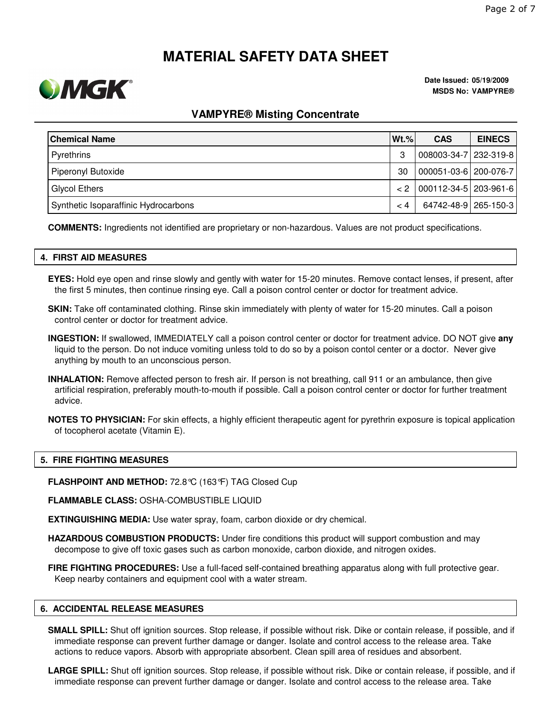

**Date Issued: 05/19/2009 MSDS No: VAMPYRE®**

### **VAMPYRE® Misting Concentrate**

| <b>Chemical Name</b>                 | $Wt.\%$  | <b>CAS</b>                | <b>EINECS</b> |
|--------------------------------------|----------|---------------------------|---------------|
| Pyrethrins                           | 3        | 008003-34-7 232-319-8     |               |
| Piperonyl Butoxide                   | 30       | 000051-03-6 200-076-7     |               |
| Glycol Ethers                        | $\leq$ 2 | $ 000112-34-5 203-961-6 $ |               |
| Synthetic Isoparaffinic Hydrocarbons | $\lt 4$  | 64742-48-9 265-150-3      |               |

**COMMENTS:** Ingredients not identified are proprietary or non-hazardous. Values are not product specifications.

#### **4. FIRST AID MEASURES**

**EYES:** Hold eye open and rinse slowly and gently with water for 15-20 minutes. Remove contact lenses, if present, after the first 5 minutes, then continue rinsing eye. Call a poison control center or doctor for treatment advice.

**SKIN:** Take off contaminated clothing. Rinse skin immediately with plenty of water for 15-20 minutes. Call a poison control center or doctor for treatment advice.

**INGESTION:** If swallowed, IMMEDIATELY call a poison control center or doctor for treatment advice. DO NOT give **any** liquid to the person. Do not induce vomiting unless told to do so by a poison contol center or a doctor. Never give anything by mouth to an unconscious person.

- **INHALATION:** Remove affected person to fresh air. If person is not breathing, call 911 or an ambulance, then give artificial respiration, preferably mouth-to-mouth if possible. Call a poison control center or doctor for further treatment advice.
- **NOTES TO PHYSICIAN:** For skin effects, a highly efficient therapeutic agent for pyrethrin exposure is topical application of tocopherol acetate (Vitamin E).

#### **5. FIRE FIGHTING MEASURES**

**FLASHPOINT AND METHOD:** 72.8°C (163°F) TAG Closed Cup

**FLAMMABLE CLASS:** OSHA-COMBUSTIBLE LIQUID

**EXTINGUISHING MEDIA:** Use water spray, foam, carbon dioxide or dry chemical.

**HAZARDOUS COMBUSTION PRODUCTS:** Under fire conditions this product will support combustion and may decompose to give off toxic gases such as carbon monoxide, carbon dioxide, and nitrogen oxides.

**FIRE FIGHTING PROCEDURES:** Use a full-faced self-contained breathing apparatus along with full protective gear. Keep nearby containers and equipment cool with a water stream.

#### **6. ACCIDENTAL RELEASE MEASURES**

**SMALL SPILL:** Shut off ignition sources. Stop release, if possible without risk. Dike or contain release, if possible, and if immediate response can prevent further damage or danger. Isolate and control access to the release area. Take actions to reduce vapors. Absorb with appropriate absorbent. Clean spill area of residues and absorbent.

**LARGE SPILL:** Shut off ignition sources. Stop release, if possible without risk. Dike or contain release, if possible, and if immediate response can prevent further damage or danger. Isolate and control access to the release area. Take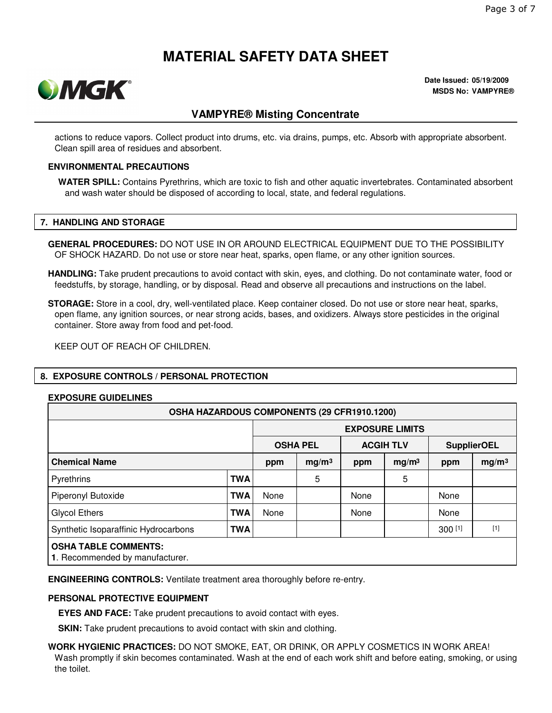

**Date Issued: 05/19/2009 MSDS No: VAMPYRE®**

## **VAMPYRE® Misting Concentrate**

actions to reduce vapors. Collect product into drums, etc. via drains, pumps, etc. Absorb with appropriate absorbent. Clean spill area of residues and absorbent.

#### **ENVIRONMENTAL PRECAUTIONS**

**WATER SPILL:** Contains Pyrethrins, which are toxic to fish and other aquatic invertebrates. Contaminated absorbent and wash water should be disposed of according to local, state, and federal regulations.

#### **7. HANDLING AND STORAGE**

**GENERAL PROCEDURES:** DO NOT USE IN OR AROUND ELECTRICAL EQUIPMENT DUE TO THE POSSIBILITY OF SHOCK HAZARD. Do not use or store near heat, sparks, open flame, or any other ignition sources.

**HANDLING:** Take prudent precautions to avoid contact with skin, eyes, and clothing. Do not contaminate water, food or feedstuffs, by storage, handling, or by disposal. Read and observe all precautions and instructions on the label.

**STORAGE:** Store in a cool, dry, well-ventilated place. Keep container closed. Do not use or store near heat, sparks, open flame, any ignition sources, or near strong acids, bases, and oxidizers. Always store pesticides in the original container. Store away from food and pet-food.

KEEP OUT OF REACH OF CHILDREN.

### **8. EXPOSURE CONTROLS / PERSONAL PROTECTION**

#### **EXPOSURE GUIDELINES**

| OSHA HAZARDOUS COMPONENTS (29 CFR1910.1200)                    |            |                        |                   |                    |                   |           |                   |
|----------------------------------------------------------------|------------|------------------------|-------------------|--------------------|-------------------|-----------|-------------------|
|                                                                |            | <b>EXPOSURE LIMITS</b> |                   |                    |                   |           |                   |
| <b>OSHA PEL</b>                                                |            | <b>ACGIH TLV</b>       |                   | <b>SupplierOEL</b> |                   |           |                   |
| <b>Chemical Name</b>                                           |            | ppm                    | mg/m <sup>3</sup> | ppm                | mg/m <sup>3</sup> | ppm       | mg/m <sup>3</sup> |
| Pyrethrins                                                     | <b>TWA</b> |                        | 5                 |                    | 5                 |           |                   |
| Piperonyl Butoxide                                             | <b>TWA</b> | None                   |                   | None               |                   | None      |                   |
| <b>Glycol Ethers</b>                                           | <b>TWA</b> | None                   |                   | None               |                   | None      |                   |
| Synthetic Isoparaffinic Hydrocarbons                           | <b>TWA</b> |                        |                   |                    |                   | $300$ [1] | $[1]$             |
| <b>OSHA TABLE COMMENTS:</b><br>1. Recommended by manufacturer. |            |                        |                   |                    |                   |           |                   |

**ENGINEERING CONTROLS:** Ventilate treatment area thoroughly before re-entry.

#### **PERSONAL PROTECTIVE EQUIPMENT**

**EYES AND FACE:** Take prudent precautions to avoid contact with eyes.

**SKIN:** Take prudent precautions to avoid contact with skin and clothing.

**WORK HYGIENIC PRACTICES:** DO NOT SMOKE, EAT, OR DRINK, OR APPLY COSMETICS IN WORK AREA! Wash promptly if skin becomes contaminated. Wash at the end of each work shift and before eating, smoking, or using the toilet.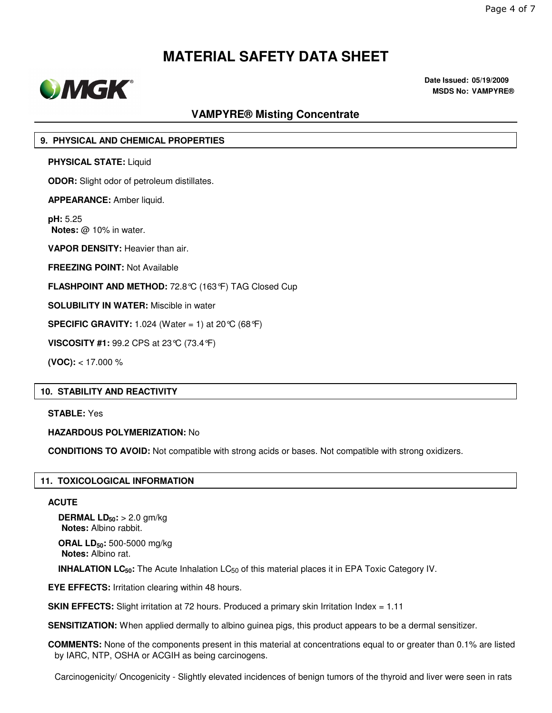

**Date Issued: 05/19/2009 MSDS No: VAMPYRE®**

# **VAMPYRE® Misting Concentrate**

#### **9. PHYSICAL AND CHEMICAL PROPERTIES**

**PHYSICAL STATE:** Liquid

**ODOR:** Slight odor of petroleum distillates.

**APPEARANCE:** Amber liquid.

**pH:** 5.25 **Notes:** @ 10% in water.

**VAPOR DENSITY:** Heavier than air.

**FREEZING POINT:** Not Available

**FLASHPOINT AND METHOD:** 72.8°C (163°F) TAG Closed Cup

**SOLUBILITY IN WATER:** Miscible in water

**SPECIFIC GRAVITY:** 1.024 (Water = 1) at 20 °C (68 °F)

**VISCOSITY #1:** 99.2 CPS at 23°C (73.4°F)

**(VOC):** < 17.000 %

#### **10. STABILITY AND REACTIVITY**

**STABLE:** Yes

#### **HAZARDOUS POLYMERIZATION:** No

**CONDITIONS TO AVOID:** Not compatible with strong acids or bases. Not compatible with strong oxidizers.

#### **11. TOXICOLOGICAL INFORMATION**

#### **ACUTE**

**DERMAL LD50:** > 2.0 gm/kg **Notes:** Albino rabbit.

**ORAL LD50:** 500-5000 mg/kg **Notes:** Albino rat.

**INHALATION LC<sub>50</sub>:** The Acute Inhalation LC<sub>50</sub> of this material places it in EPA Toxic Category IV.

**EYE EFFECTS:** Irritation clearing within 48 hours.

**SKIN EFFECTS:** Slight irritation at 72 hours. Produced a primary skin Irritation Index = 1.11

**SENSITIZATION:** When applied dermally to albino guinea pigs, this product appears to be a dermal sensitizer.

**COMMENTS:** None of the components present in this material at concentrations equal to or greater than 0.1% are listed by IARC, NTP, OSHA or ACGIH as being carcinogens.

Carcinogenicity/ Oncogenicity - Slightly elevated incidences of benign tumors of the thyroid and liver were seen in rats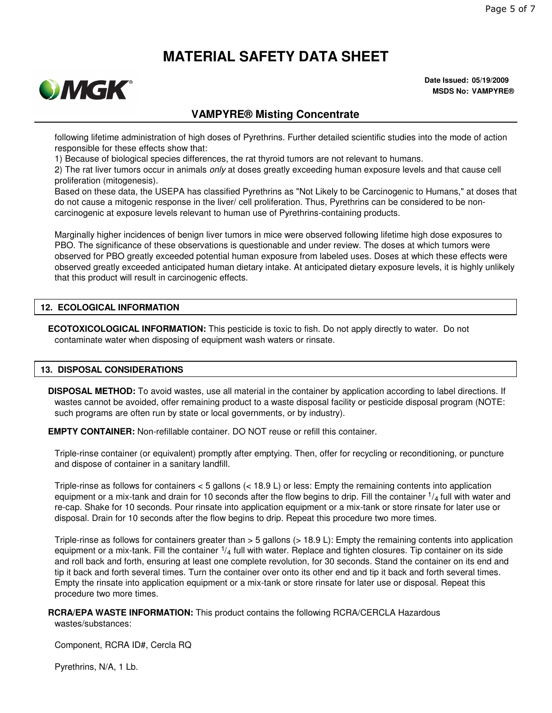

**Date Issued: 05/19/2009 MSDS No: VAMPYRE®**

### **VAMPYRE® Misting Concentrate**

following lifetime administration of high doses of Pyrethrins. Further detailed scientific studies into the mode of action responsible for these effects show that:

1) Because of biological species differences, the rat thyroid tumors are not relevant to humans.

2) The rat liver tumors occur in animals *only* at doses greatly exceeding human exposure levels and that cause cell proliferation (mitogenesis).

Based on these data, the USEPA has classified Pyrethrins as "Not Likely to be Carcinogenic to Humans," at doses that do not cause a mitogenic response in the liver/ cell proliferation. Thus, Pyrethrins can be considered to be noncarcinogenic at exposure levels relevant to human use of Pyrethrins-containing products.

Marginally higher incidences of benign liver tumors in mice were observed following lifetime high dose exposures to PBO. The significance of these observations is questionable and under review. The doses at which tumors were observed for PBO greatly exceeded potential human exposure from labeled uses. Doses at which these effects were observed greatly exceeded anticipated human dietary intake. At anticipated dietary exposure levels, it is highly unlikely that this product will result in carcinogenic effects.

#### **12. ECOLOGICAL INFORMATION**

**ECOTOXICOLOGICAL INFORMATION:** This pesticide is toxic to fish. Do not apply directly to water. Do not contaminate water when disposing of equipment wash waters or rinsate.

#### **13. DISPOSAL CONSIDERATIONS**

**DISPOSAL METHOD:** To avoid wastes, use all material in the container by application according to label directions. If wastes cannot be avoided, offer remaining product to a waste disposal facility or pesticide disposal program (NOTE: such programs are often run by state or local governments, or by industry).

**EMPTY CONTAINER:** Non-refillable container. DO NOT reuse or refill this container.

Triple-rinse container (or equivalent) promptly after emptying. Then, offer for recycling or reconditioning, or puncture and dispose of container in a sanitary landfill.

Triple-rinse as follows for containers < 5 gallons (< 18.9 L) or less: Empty the remaining contents into application equipment or a mix-tank and drain for 10 seconds after the flow begins to drip. Fill the container  $\frac{1}{4}$  full with water and re-cap. Shake for 10 seconds. Pour rinsate into application equipment or a mix-tank or store rinsate for later use or disposal. Drain for 10 seconds after the flow begins to drip. Repeat this procedure two more times.

Triple-rinse as follows for containers greater than > 5 gallons (> 18.9 L): Empty the remaining contents into application equipment or a mix-tank. Fill the container  $1/4$  full with water. Replace and tighten closures. Tip container on its side and roll back and forth, ensuring at least one complete revolution, for 30 seconds. Stand the container on its end and tip it back and forth several times. Turn the container over onto its other end and tip it back and forth several times. Empty the rinsate into application equipment or a mix-tank or store rinsate for later use or disposal. Repeat this procedure two more times.

### **RCRA/EPA WASTE INFORMATION:** This product contains the following RCRA/CERCLA Hazardous

wastes/substances:

Component, RCRA ID#, Cercla RQ

Pyrethrins, N/A, 1 Lb.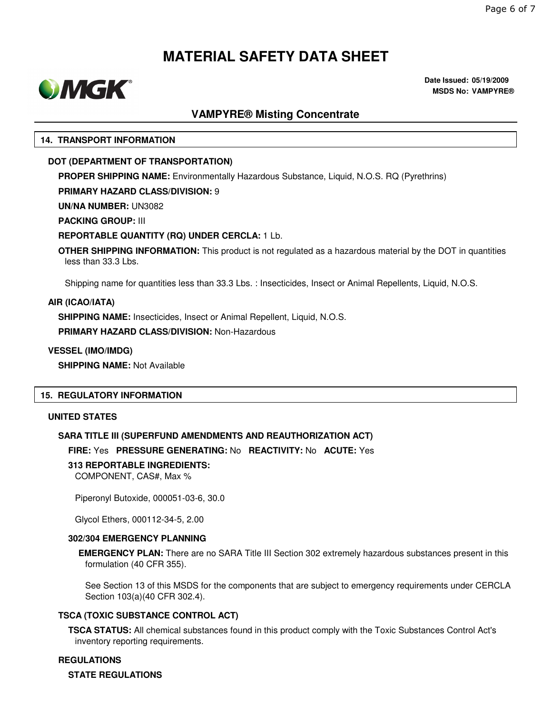

**Date Issued: 05/19/2009 MSDS No: VAMPYRE®**

## **VAMPYRE® Misting Concentrate**

#### **14. TRANSPORT INFORMATION**

#### **DOT (DEPARTMENT OF TRANSPORTATION)**

**PROPER SHIPPING NAME:** Environmentally Hazardous Substance, Liquid, N.O.S. RQ (Pyrethrins)

**PRIMARY HAZARD CLASS/DIVISION:** 9

**UN/NA NUMBER:** UN3082

**PACKING GROUP:** III

#### **REPORTABLE QUANTITY (RQ) UNDER CERCLA:** 1 Lb.

**OTHER SHIPPING INFORMATION:** This product is not regulated as a hazardous material by the DOT in quantities less than 33.3 Lbs.

Shipping name for quantities less than 33.3 Lbs. : Insecticides, Insect or Animal Repellents, Liquid, N.O.S.

#### **AIR (ICAO/IATA)**

**SHIPPING NAME:** Insecticides, Insect or Animal Repellent, Liquid, N.O.S.

**PRIMARY HAZARD CLASS/DIVISION:** Non-Hazardous

**VESSEL (IMO/IMDG)**

**SHIPPING NAME:** Not Available

#### **15. REGULATORY INFORMATION**

#### **UNITED STATES**

#### **SARA TITLE III (SUPERFUND AMENDMENTS AND REAUTHORIZATION ACT)**

**FIRE:** Yes **PRESSURE GENERATING:** No **REACTIVITY:** No **ACUTE:** Yes

#### **313 REPORTABLE INGREDIENTS:**

COMPONENT, CAS#, Max %

Piperonyl Butoxide, 000051-03-6, 30.0

Glycol Ethers, 000112-34-5, 2.00

#### **302/304 EMERGENCY PLANNING**

**EMERGENCY PLAN:** There are no SARA Title III Section 302 extremely hazardous substances present in this formulation (40 CFR 355).

See Section 13 of this MSDS for the components that are subject to emergency requirements under CERCLA Section 103(a)(40 CFR 302.4).

#### **TSCA (TOXIC SUBSTANCE CONTROL ACT)**

**TSCA STATUS:** All chemical substances found in this product comply with the Toxic Substances Control Act's inventory reporting requirements.

**REGULATIONS**

**STATE REGULATIONS**